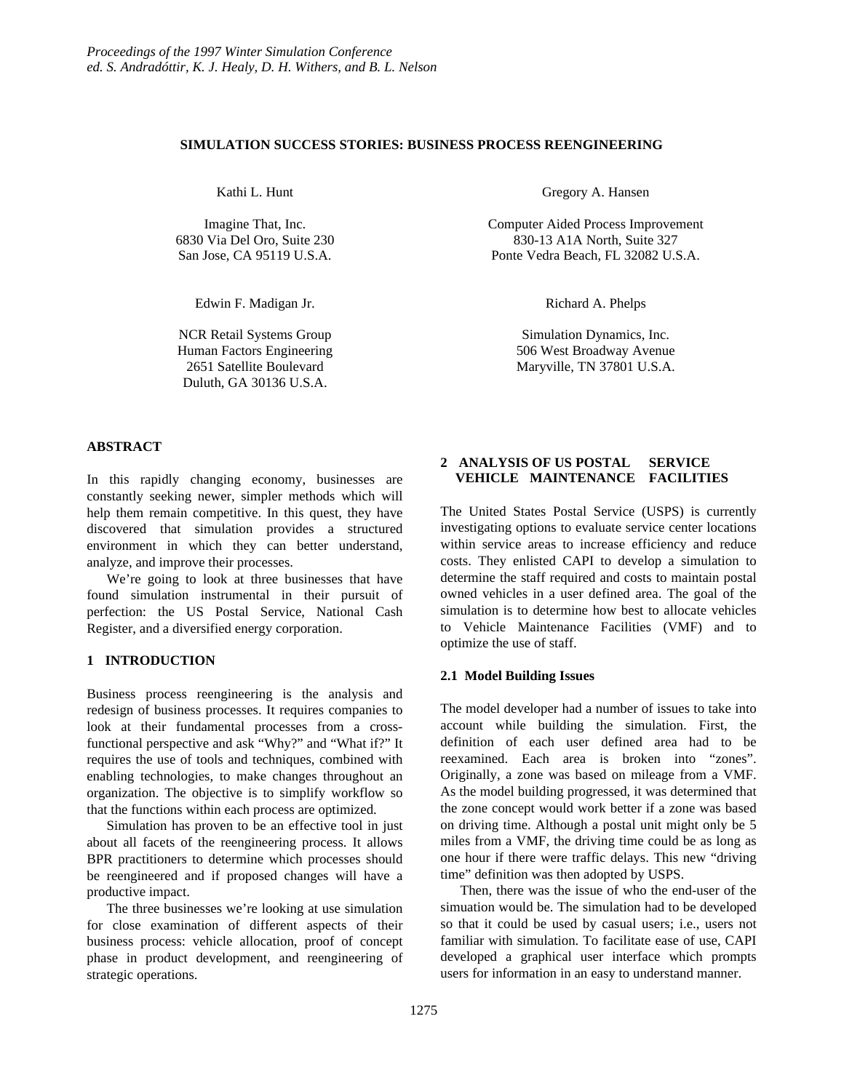## **SIMULATION SUCCESS STORIES: BUSINESS PROCESS REENGINEERING**

Kathi L. Hunt

Imagine That, Inc. 6830 Via Del Oro, Suite 230 San Jose, CA 95119 U.S.A.

Edwin F. Madigan Jr.

NCR Retail Systems Group Human Factors Engineering 2651 Satellite Boulevard Duluth, GA 30136 U.S.A.

Gregory A. Hansen

Computer Aided Process Improvement 830-13 A1A North, Suite 327 Ponte Vedra Beach, FL 32082 U.S.A.

Richard A. Phelps

Simulation Dynamics, Inc. 506 West Broadway Avenue Maryville, TN 37801 U.S.A.

## **ABSTRACT**

In this rapidly changing economy, businesses are constantly seeking newer, simpler methods which will help them remain competitive. In this quest, they have discovered that simulation provides a structured environment in which they can better understand, analyze, and improve their processes.

We're going to look at three businesses that have found simulation instrumental in their pursuit of perfection: the US Postal Service, National Cash Register, and a diversified energy corporation.

## **1 INTRODUCTION**

Business process reengineering is the analysis and redesign of business processes. It requires companies to look at their fundamental processes from a crossfunctional perspective and ask "Why?" and "What if?" It requires the use of tools and techniques, combined with enabling technologies, to make changes throughout an organization. The objective is to simplify workflow so that the functions within each process are optimized.

Simulation has proven to be an effective tool in just about all facets of the reengineering process. It allows BPR practitioners to determine which processes should be reengineered and if proposed changes will have a productive impact.

The three businesses we're looking at use simulation for close examination of different aspects of their business process: vehicle allocation, proof of concept phase in product development, and reengineering of strategic operations.

# **2 ANALYSIS OF US POSTAL SERVICE VEHICLE MAINTENANCE FACILITIES**

The United States Postal Service (USPS) is currently investigating options to evaluate service center locations within service areas to increase efficiency and reduce costs. They enlisted CAPI to develop a simulation to determine the staff required and costs to maintain postal owned vehicles in a user defined area. The goal of the simulation is to determine how best to allocate vehicles to Vehicle Maintenance Facilities (VMF) and to optimize the use of staff.

#### **2.1 Model Building Issues**

The model developer had a number of issues to take into account while building the simulation. First, the definition of each user defined area had to be reexamined. Each area is broken into "zones". Originally, a zone was based on mileage from a VMF. As the model building progressed, it was determined that the zone concept would work better if a zone was based on driving time. Although a postal unit might only be 5 miles from a VMF, the driving time could be as long as one hour if there were traffic delays. This new "driving time" definition was then adopted by USPS.

Then, there was the issue of who the end-user of the simuation would be. The simulation had to be developed so that it could be used by casual users; i.e., users not familiar with simulation. To facilitate ease of use, CAPI developed a graphical user interface which prompts users for information in an easy to understand manner.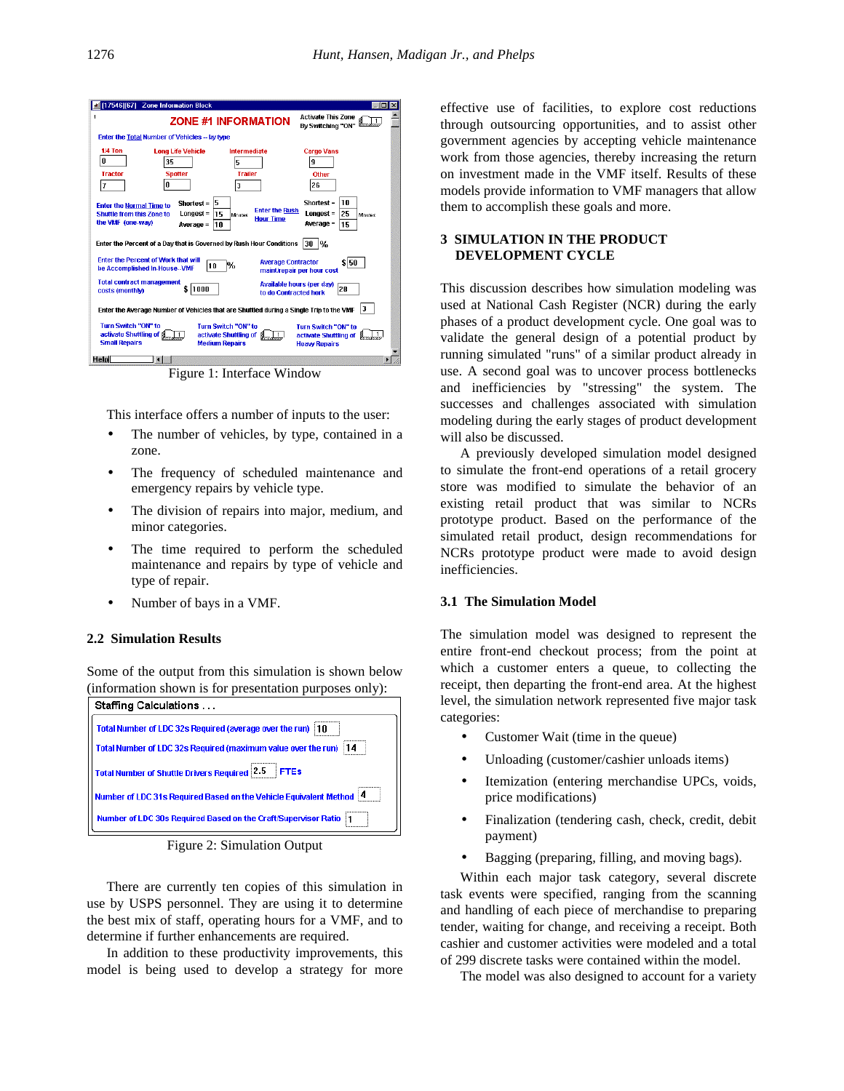| [17546][67]                                                                                                                                                             | <b>Zone Information Block</b>           |                                                                              |                                           |                                                                             |         |
|-------------------------------------------------------------------------------------------------------------------------------------------------------------------------|-----------------------------------------|------------------------------------------------------------------------------|-------------------------------------------|-----------------------------------------------------------------------------|---------|
| $\mathbf{1}$                                                                                                                                                            |                                         | <b>ZONE #1 INFORMATION</b>                                                   |                                           | <b>Activate This Zone</b><br>By Switching "ON"                              |         |
| <b>Enter the Total Number of Vehicles -- by type</b>                                                                                                                    |                                         |                                                                              |                                           |                                                                             |         |
| <b>1/4 Ton</b><br>o                                                                                                                                                     | <b>Long Life Vehicle</b><br>35          | 5                                                                            | Intermediate                              | <b>Cargo Vans</b><br>9                                                      |         |
| <b>Tractor</b><br>7                                                                                                                                                     | <b>Spotter</b><br>0                     | <b>Trailer</b><br>3                                                          |                                           | <b>Other</b><br>26                                                          |         |
| <b>Enter the Normal Time to</b><br>Shuttle from this Zone to<br>the VMF (one-way)                                                                                       | Shortest =<br>$L$ ongest =<br>Average = | 15<br>15<br>hñnutes<br>11 N                                                  | <b>Enter the Rush</b><br><b>Hour Time</b> | Shortest =<br>10<br>25<br>Longest =<br>Average =<br>15                      | Minutes |
| Enter the Percent of a Day that is Governed by Rush Hour Conditions<br>30<br>1%                                                                                         |                                         |                                                                              |                                           |                                                                             |         |
| <b>Enter the Percent of Work that will</b><br>$s$ <sub>50</sub><br><b>Average Contractor</b><br>l%<br>10<br>be Accomplished In-House--VMF<br>maint/repair per hour cost |                                         |                                                                              |                                           |                                                                             |         |
| <b>Total contract management</b><br>Available hours (per day)<br>28<br>1000<br>costs (monthly)<br>to do Contracted hork                                                 |                                         |                                                                              |                                           |                                                                             |         |
| 3<br>Enter the Average Number of Vehicles that are Shuttled during a Single Trip to the VMF                                                                             |                                         |                                                                              |                                           |                                                                             |         |
| <b>Turn Switch "ON" to</b><br>activate Shuttling of B<br><b>Small Repairs</b>                                                                                           |                                         | <b>Turn Switch "ON" to</b><br>activate Shuttling of<br><b>Medium Repairs</b> |                                           | <b>Turn Switch "ON" to</b><br>activate Shuttling of<br><b>Heavy Repairs</b> |         |
| Help                                                                                                                                                                    | <b>A</b>                                | $\mathbf{I}$ $\mathbf{V}$ .                                                  | $\epsilon$<br><b>TTT'</b>                 | $\mathbf{I}$                                                                |         |

Figure 1: Interface Window

This interface offers a number of inputs to the user:

- The number of vehicles, by type, contained in a zone.
- The frequency of scheduled maintenance and emergency repairs by vehicle type.
- The division of repairs into major, medium, and minor categories.
- The time required to perform the scheduled maintenance and repairs by type of vehicle and type of repair.
- Number of bays in a VMF.

## **2.2 Simulation Results**

Some of the output from this simulation is shown below (information shown is for presentation purposes only):



Figure 2: Simulation Output

There are currently ten copies of this simulation in use by USPS personnel. They are using it to determine the best mix of staff, operating hours for a VMF, and to determine if further enhancements are required.

In addition to these productivity improvements, this model is being used to develop a strategy for more effective use of facilities, to explore cost reductions through outsourcing opportunities, and to assist other government agencies by accepting vehicle maintenance work from those agencies, thereby increasing the return on investment made in the VMF itself. Results of these models provide information to VMF managers that allow them to accomplish these goals and more.

## **3 SIMULATION IN THE PRODUCT DEVELOPMENT CYCLE**

This discussion describes how simulation modeling was used at National Cash Register (NCR) during the early phases of a product development cycle. One goal was to validate the general design of a potential product by running simulated "runs" of a similar product already in use. A second goal was to uncover process bottlenecks and inefficiencies by "stressing" the system. The successes and challenges associated with simulation modeling during the early stages of product development will also be discussed.

A previously developed simulation model designed to simulate the front-end operations of a retail grocery store was modified to simulate the behavior of an existing retail product that was similar to NCRs prototype product. Based on the performance of the simulated retail product, design recommendations for NCRs prototype product were made to avoid design inefficiencies.

### **3.1 The Simulation Model**

The simulation model was designed to represent the entire front-end checkout process; from the point at which a customer enters a queue, to collecting the receipt, then departing the front-end area. At the highest level, the simulation network represented five major task categories:

- Customer Wait (time in the queue)
- Unloading (customer/cashier unloads items)
- Itemization (entering merchandise UPCs, voids, price modifications)
- Finalization (tendering cash, check, credit, debit payment)
- Bagging (preparing, filling, and moving bags).

Within each major task category, several discrete task events were specified, ranging from the scanning and handling of each piece of merchandise to preparing tender, waiting for change, and receiving a receipt. Both cashier and customer activities were modeled and a total of 299 discrete tasks were contained within the model.

The model was also designed to account for a variety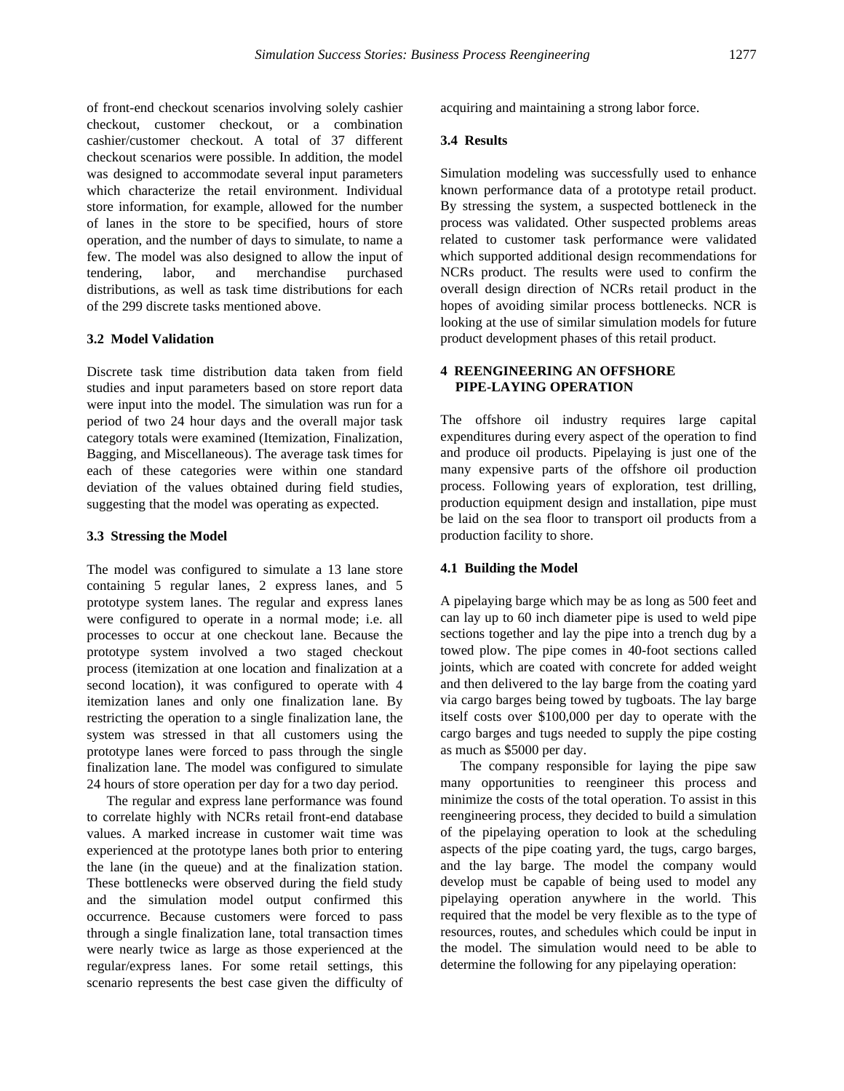of front-end checkout scenarios involving solely cashier checkout, customer checkout, or a combination cashier/customer checkout. A total of 37 different checkout scenarios were possible. In addition, the model was designed to accommodate several input parameters which characterize the retail environment. Individual store information, for example, allowed for the number of lanes in the store to be specified, hours of store operation, and the number of days to simulate, to name a few. The model was also designed to allow the input of tendering, labor, and merchandise purchased distributions, as well as task time distributions for each of the 299 discrete tasks mentioned above.

#### **3.2 Model Validation**

Discrete task time distribution data taken from field studies and input parameters based on store report data were input into the model. The simulation was run for a period of two 24 hour days and the overall major task category totals were examined (Itemization, Finalization, Bagging, and Miscellaneous). The average task times for each of these categories were within one standard deviation of the values obtained during field studies, suggesting that the model was operating as expected.

### **3.3 Stressing the Model**

The model was configured to simulate a 13 lane store containing 5 regular lanes, 2 express lanes, and 5 prototype system lanes. The regular and express lanes were configured to operate in a normal mode; i.e. all processes to occur at one checkout lane. Because the prototype system involved a two staged checkout process (itemization at one location and finalization at a second location), it was configured to operate with 4 itemization lanes and only one finalization lane. By restricting the operation to a single finalization lane, the system was stressed in that all customers using the prototype lanes were forced to pass through the single finalization lane. The model was configured to simulate 24 hours of store operation per day for a two day period.

The regular and express lane performance was found to correlate highly with NCRs retail front-end database values. A marked increase in customer wait time was experienced at the prototype lanes both prior to entering the lane (in the queue) and at the finalization station. These bottlenecks were observed during the field study and the simulation model output confirmed this occurrence. Because customers were forced to pass through a single finalization lane, total transaction times were nearly twice as large as those experienced at the regular/express lanes. For some retail settings, this scenario represents the best case given the difficulty of acquiring and maintaining a strong labor force.

#### **3.4 Results**

Simulation modeling was successfully used to enhance known performance data of a prototype retail product. By stressing the system, a suspected bottleneck in the process was validated. Other suspected problems areas related to customer task performance were validated which supported additional design recommendations for NCRs product. The results were used to confirm the overall design direction of NCRs retail product in the hopes of avoiding similar process bottlenecks. NCR is looking at the use of similar simulation models for future product development phases of this retail product.

## **4 REENGINEERING AN OFFSHORE PIPE-LAYING OPERATION**

The offshore oil industry requires large capital expenditures during every aspect of the operation to find and produce oil products. Pipelaying is just one of the many expensive parts of the offshore oil production process. Following years of exploration, test drilling, production equipment design and installation, pipe must be laid on the sea floor to transport oil products from a production facility to shore.

## **4.1 Building the Model**

A pipelaying barge which may be as long as 500 feet and can lay up to 60 inch diameter pipe is used to weld pipe sections together and lay the pipe into a trench dug by a towed plow. The pipe comes in 40-foot sections called joints, which are coated with concrete for added weight and then delivered to the lay barge from the coating yard via cargo barges being towed by tugboats. The lay barge itself costs over \$100,000 per day to operate with the cargo barges and tugs needed to supply the pipe costing as much as \$5000 per day.

The company responsible for laying the pipe saw many opportunities to reengineer this process and minimize the costs of the total operation. To assist in this reengineering process, they decided to build a simulation of the pipelaying operation to look at the scheduling aspects of the pipe coating yard, the tugs, cargo barges, and the lay barge. The model the company would develop must be capable of being used to model any pipelaying operation anywhere in the world. This required that the model be very flexible as to the type of resources, routes, and schedules which could be input in the model. The simulation would need to be able to determine the following for any pipelaying operation: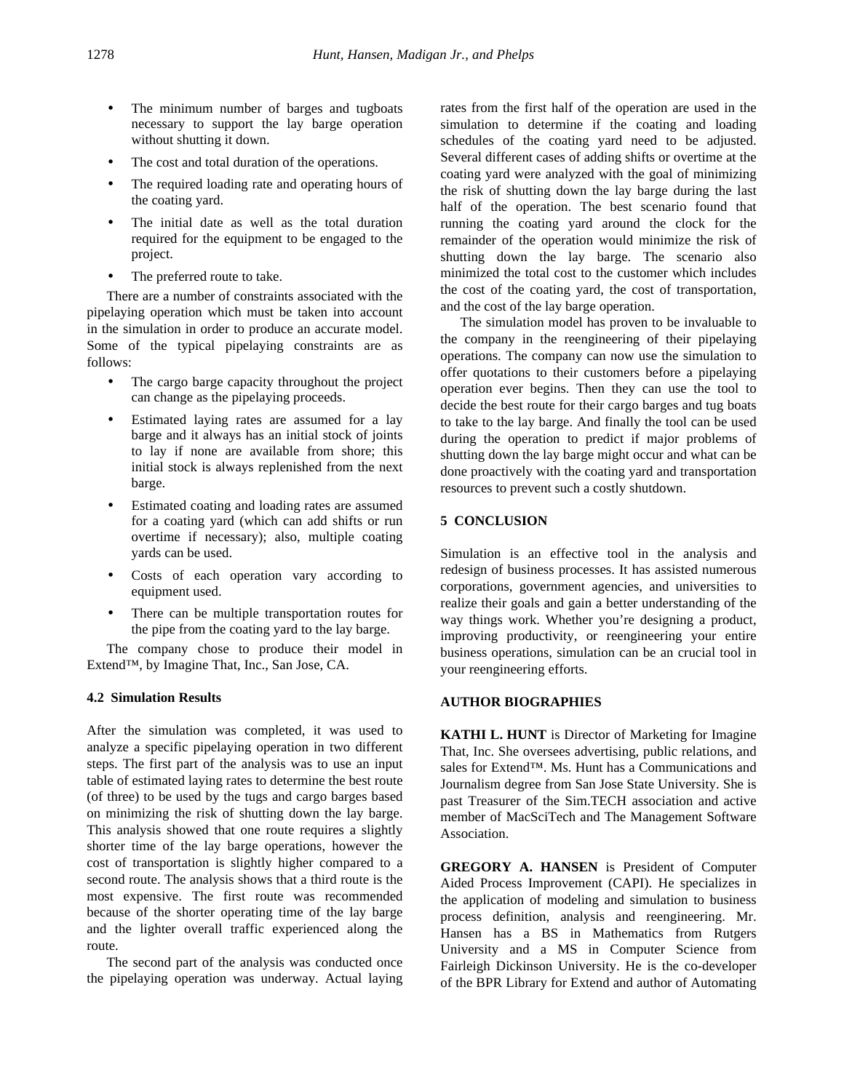- The minimum number of barges and tugboats necessary to support the lay barge operation without shutting it down.
- The cost and total duration of the operations.
- The required loading rate and operating hours of the coating yard.
- The initial date as well as the total duration required for the equipment to be engaged to the project.
- The preferred route to take.

There are a number of constraints associated with the pipelaying operation which must be taken into account in the simulation in order to produce an accurate model. Some of the typical pipelaying constraints are as follows:

- The cargo barge capacity throughout the project can change as the pipelaying proceeds.
- Estimated laying rates are assumed for a lay barge and it always has an initial stock of joints to lay if none are available from shore; this initial stock is always replenished from the next barge.
- Estimated coating and loading rates are assumed for a coating yard (which can add shifts or run overtime if necessary); also, multiple coating yards can be used.
- Costs of each operation vary according to equipment used.
- There can be multiple transportation routes for the pipe from the coating yard to the lay barge.

The company chose to produce their model in Extend™, by Imagine That, Inc., San Jose, CA.

#### **4.2 Simulation Results**

After the simulation was completed, it was used to analyze a specific pipelaying operation in two different steps. The first part of the analysis was to use an input table of estimated laying rates to determine the best route (of three) to be used by the tugs and cargo barges based on minimizing the risk of shutting down the lay barge. This analysis showed that one route requires a slightly shorter time of the lay barge operations, however the cost of transportation is slightly higher compared to a second route. The analysis shows that a third route is the most expensive. The first route was recommended because of the shorter operating time of the lay barge and the lighter overall traffic experienced along the route.

The second part of the analysis was conducted once the pipelaying operation was underway. Actual laying rates from the first half of the operation are used in the simulation to determine if the coating and loading schedules of the coating yard need to be adjusted. Several different cases of adding shifts or overtime at the coating yard were analyzed with the goal of minimizing the risk of shutting down the lay barge during the last half of the operation. The best scenario found that running the coating yard around the clock for the remainder of the operation would minimize the risk of shutting down the lay barge. The scenario also minimized the total cost to the customer which includes the cost of the coating yard, the cost of transportation, and the cost of the lay barge operation.

The simulation model has proven to be invaluable to the company in the reengineering of their pipelaying operations. The company can now use the simulation to offer quotations to their customers before a pipelaying operation ever begins. Then they can use the tool to decide the best route for their cargo barges and tug boats to take to the lay barge. And finally the tool can be used during the operation to predict if major problems of shutting down the lay barge might occur and what can be done proactively with the coating yard and transportation resources to prevent such a costly shutdown.

#### **5 CONCLUSION**

Simulation is an effective tool in the analysis and redesign of business processes. It has assisted numerous corporations, government agencies, and universities to realize their goals and gain a better understanding of the way things work. Whether you're designing a product, improving productivity, or reengineering your entire business operations, simulation can be an crucial tool in your reengineering efforts.

#### **AUTHOR BIOGRAPHIES**

**KATHI L. HUNT** is Director of Marketing for Imagine That, Inc. She oversees advertising, public relations, and sales for Extend™. Ms. Hunt has a Communications and Journalism degree from San Jose State University. She is past Treasurer of the Sim.TECH association and active member of MacSciTech and The Management Software Association.

**GREGORY A. HANSEN** is President of Computer Aided Process Improvement (CAPI). He specializes in the application of modeling and simulation to business process definition, analysis and reengineering. Mr. Hansen has a BS in Mathematics from Rutgers University and a MS in Computer Science from Fairleigh Dickinson University. He is the co-developer of the BPR Library for Extend and author of Automating